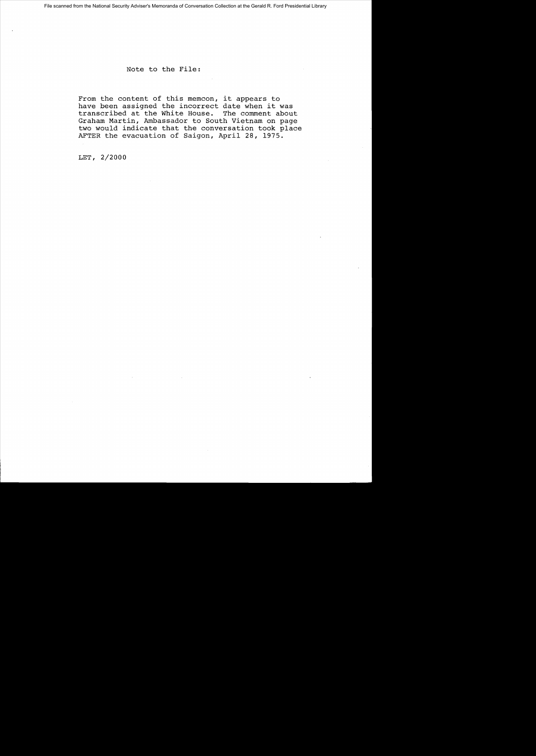Note to the File:

From the content of this memcon, it appears to have been assigned the incorrect date when it was transcribed at the White House. The comment about Graham Martin, Ambassador to South Vietnam on page two would indicate that the conversation took place AFTER the evacuation of Saigon, April 28, 1975.

LET, 2/2000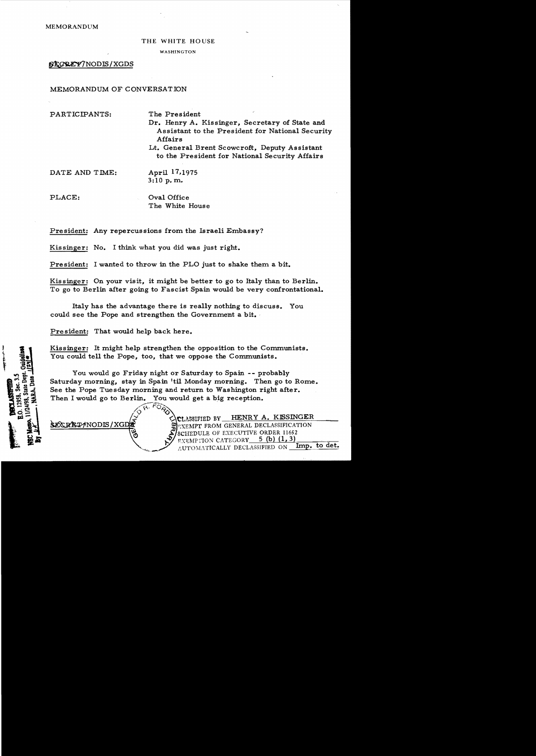MEMORANDUM

## THE WHITE HOUSE

WASHINGTON

**SECREY/NODIS/XGDS** 

MEMORANDUM OF CONVERSATION

PARTICIPANTS: The President

Dr. Henry A. Kissinger, Secretary of State and Assistant to the President for National Security Affairs

Lt. General Brent Scowcroft, Deputy Assistant to the President for National Security Affairs

DATE AND TIME: April 17,1975

3:10 p. m.

PLACE:  $Oval$  Oval Office The White House

President: Any repercussions from the Israeli Embassy?

Kissinger: No. I think what you did was just right.

President: I wanted to throw in the PLO just to shake them a bit.

Kissinger: On your visit, it might be better to go to Italy than to Berlin. To go to Berlin after going to Fascist Spain would be very confrontational.

Italy has the advantage there is really nothing to discuss. You could see the Pope and strengthen the Government a bit.

President: That would help back here.

Kissinger: It might help strengthen the opposition to the Communists. You could tell the Pope, too, that we oppose the Communists.

You would go Friday night or Saturday to Spain -- probably Saturday morning, stay in Spain 'til Monday morning. Then go to Rome. See the Pope Tuesday morning and return to Washington right after. Then I would go to Berlin. You would get a big reception.

 $\sqrt{p}$ . FORD

CLASSIFIED BY HENRY A. KISSINGER **\$ECRET/NODIS/XGDE since the struck of struck of struck of struck of struck of struck of struck of struck of struck of struck of struck of struck of struck of struck of struck of struck of struck of struck of struck of s** SCHEDULE OF EXECUTIVE ORDER 11652 EXEMPTION CATEGORY 5 (b) (1,3) AUTOMATICALLY DECLASSIFIED ON Imp. to det.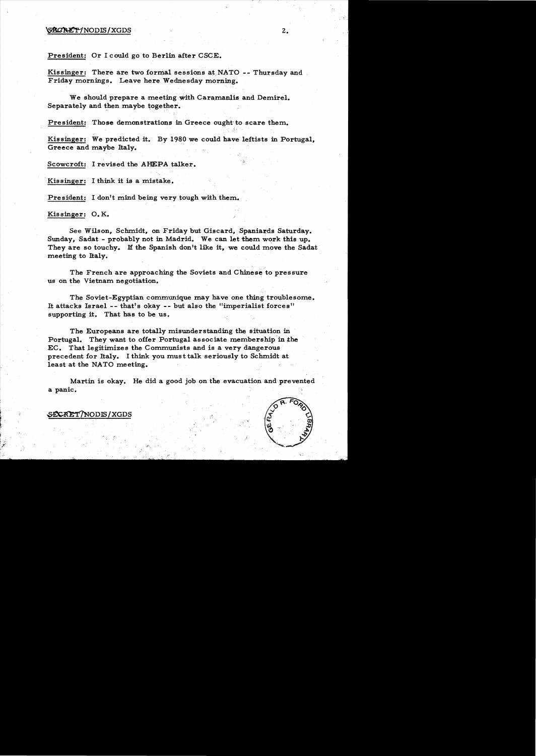## $\mathcal{S}\&\mathcal{C}\&\mathcal{D}'\&\mathcal{D}'\&\mathcal{D}'\&\mathcal{D}'\&\mathcal{D}'\&\mathcal{D} \&\mathcal{D}'\&\mathcal{D} \&\mathcal{D}'\&\mathcal{D} \&\mathcal{D}'\&\mathcal{D} \&\mathcal{D}'\&\mathcal{D} \&\mathcal{D}'\&\mathcal{D} \&\mathcal{D}'\&\mathcal{D} \&\mathcal{D}'\&\mathcal{D} \&\mathcal{D}'\&\mathcal{D} \&\mathcal{D}'\&\mathcal{D} \&\mathcal{D}'\&\mathcal{D}$

President: Or I could go to Berlin after CSCE.

Kissinger: There are two formal sessions at NATO -- Thursday and Friday mornings. Leave here Wednesday morning.

We should prepare a meeting with Caramanlis and Demirel. Separately and then maybe together.

President: Those demonstrations in Greece ought to scare them.

Kissinger: We predicted it. By 1980 we could have leftists in Portugal, Greece and maybe Italy.

Scowcroft: I revised the AHEPA talker.

Kissinger: I think it is a mistake.

President: I don't mind being very tough with them.

Kissinger: O. K.

See Wilson, Schmidt. on Friday but Giscard, Spaniards Saturday. Sunday, Sadat - probably not in Madrid. We can let them work this up. They are so touchy. If the Spanish don't like it, we could move the Sadat meeting to Italy.

The French are approaching the Soviets and Chinese to pressure us on the Vietnam negotiation.

The Soviet-Egyptian communique may have one thing troublesome.• It attacks Israel -- that's okay -- but also the "imperialist forces" supporting it. That has to be us.

The Europeans are totally misunderstanding the situation in Portugal. They want to offer Portugal associate membership in the EC. That legitimizes the Communists and is a very dangerous precedent for Italy. I think you must talk seriously to Schmidt at. least at the NATO meeting.

Martin is okay. He did a good job on the evacuation and prevented a panic.



, '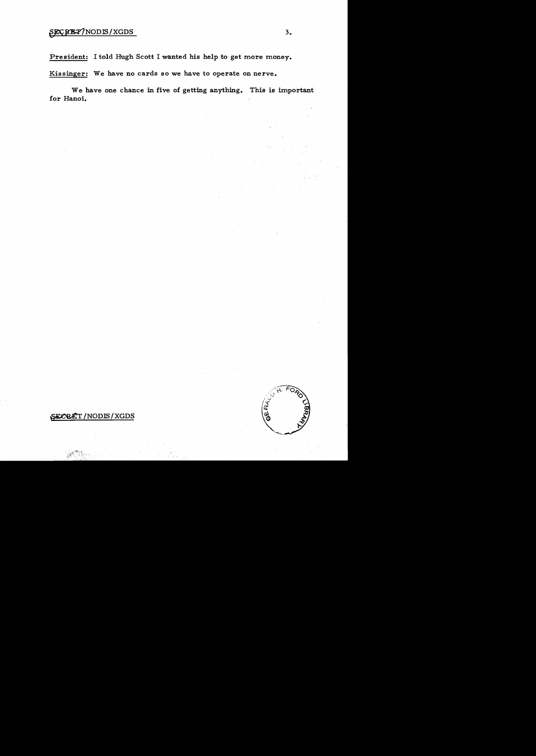## \$ECREP/NODIS/XGDS 3.

President: I told Hugh Scott I wanted his help to get more money.

Kissinger: We have no cards so we have to operate on nerve.

We have one chance in five of getting anything. This is important for Hanoi.

## SEOBET/NODIS/XGDS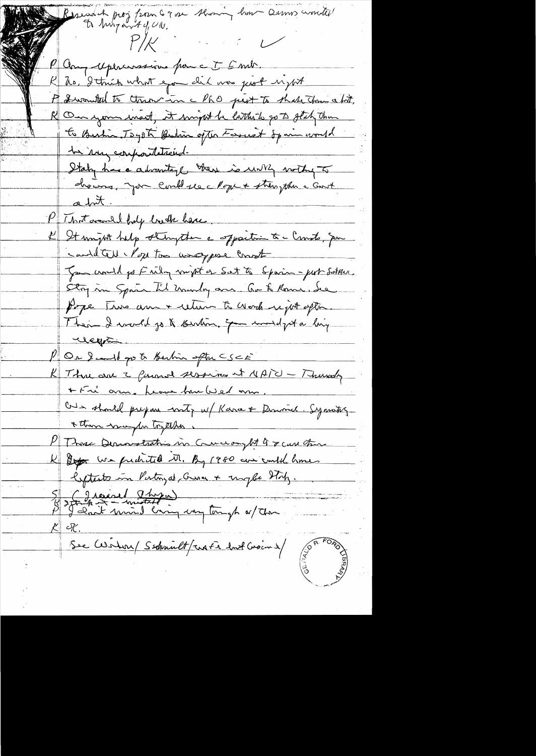wood of prog from G 9 or throwing home Ournes wonder!<br>It his program 4 g, UN,  $P/\!\not\sim$ Par upercrossions pour E F met K hr, I think what eyo did was just uzut A Iwould to theorin a PhO pert to that the shit, On your west, it might be little to to get the to Burtin Tagota Bution often Formet Spain world to sun compositational. Staty has a divinitary there is until withy To chairs, you could see Moge + strengthen a Good atri P That are and holy loads have It unjoit help strugton a specitor & - Consto, por contacted for too wag pose const Jam would go Frily might of Set to Spain - port Sotthan. Stry in Sprin Til murley are . Ou to Rome, de Pope Two am + cetur to work upt often Their I would go to kertien, Exementalyta high Kleyri P Or 2 could go to Berlin spt CSCE K Three are a farmed session at NAIU - Thursday + Fri arm. Leave how Wed arm Our should prepare mity w/ Kara & Dimond. Symothy \* then way for tryther. 1 Those Demonstration in Conceany At G & case there K Dep we pudited M. By 1980 are could homes lefteste in Pertingal aussi + unpla Hilz. s france (I hope) See Cesilin / Sechnult/rati hat Croins/